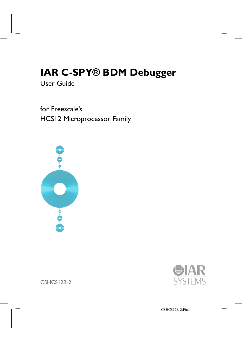# **IAR C-SPY® BDM Debugger**

User Guide

for Freescale's HCS12 Microprocessor Family





CSHCS12B-2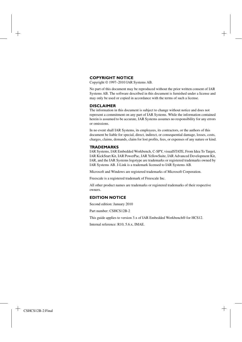### <span id="page-1-0"></span>**COPYRIGHT NOTICE**

Copyright © 1997–2010 IAR Systems AB.

No part of this document may be reproduced without the prior written consent of IAR Systems AB. The software described in this document is furnished under a license and may only be used or copied in accordance with the terms of such a license.

#### <span id="page-1-1"></span>**DISCLAIMER**

The information in this document is subject to change without notice and does not represent a commitment on any part of IAR Systems. While the information contained herein is assumed to be accurate, IAR Systems assumes no responsibility for any errors or omissions.

In no event shall IAR Systems, its employees, its contractors, or the authors of this document be liable for special, direct, indirect, or consequential damage, losses, costs, charges, claims, demands, claim for lost profits, fees, or expenses of any nature or kind.

#### <span id="page-1-3"></span>**TRADEMARKS**

IAR Systems, IAR Embedded Workbench, C-SPY, visualSTATE, From Idea To Target, IAR KickStart Kit, IAR PowerPac, IAR YellowSuite, IAR Advanced Development Kit, IAR, and the IAR Systems logotype are trademarks or registered trademarks owned by IAR Systems AB. J-Link is a trademark licensed to IAR Systems AB.

Microsoft and Windows are registered trademarks of Microsoft Corporation.

Freescale is a registered trademark of Freescale Inc.

All other product names are trademarks or registered trademarks of their respective owners.

#### <span id="page-1-2"></span>**EDITION NOTICE**

Second edition: January 2010

Part number: CSHCS12B-2

This guide applies to version 3.x of IAR Embedded Workbench® for HCS12.

Internal reference: R10, 5.6.x, IMAE.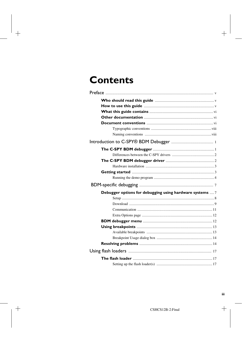## **Contents**

| Debugger options for debugging using hardware systems  7 |  |
|----------------------------------------------------------|--|
|                                                          |  |
|                                                          |  |
|                                                          |  |
|                                                          |  |
|                                                          |  |
|                                                          |  |
|                                                          |  |
|                                                          |  |
|                                                          |  |
|                                                          |  |
|                                                          |  |
|                                                          |  |
|                                                          |  |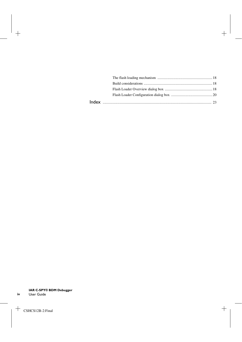**iv**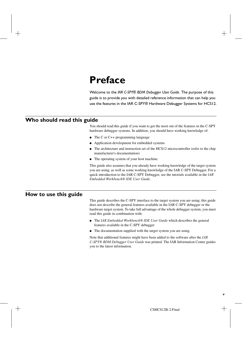## <span id="page-4-0"></span>**Preface**

Welcome to the *IAR C-SPY® BDM Debugger User Guide*. The purpose of this guide is to provide you with detailed reference information that can help you use the features in the IAR C-SPY® Hardware Debugger Systems for HCS12.

## <span id="page-4-1"></span>**Who should read this guide**

<span id="page-4-3"></span>You should read this guide if you want to get the most out of the features in the C-SPY hardware debugger systems. In addition, you should have working knowledge of:

- The C or C++ programming language
- Application development for embedded systems
- The architecture and instruction set of the HCS12 microcontroller (refer to the chip manufacturer's documentation)
- The operating system of your host machine.

This guide also assumes that you already have working knowledge of the target system you are using, as well as some working knowledge of the IAR C-SPY Debugger. For a quick introduction to the IAR C-SPY Debugger, see the tutorials available in the *IAR Embedded Workbench® IDE User Guide*.

## <span id="page-4-2"></span>**How to use this guide**

<span id="page-4-4"></span>This guide describes the C-SPY interface to the target system you are using; this guide does not describe the general features available in the IAR C-SPY debugger or the hardware target system. To take full advantage of the whole debugger system, you must read this guide in combination with:

- The *IAR Embedded Workbench® IDE User Guide* which describes the general features available in the C-SPY debugger
- The documentation supplied with the target system you are using.

Note that additional features might have been added to the software after the *IAR C-SPY® BDM Debugger User Guide* was printed. The IAR Information Center guides you to the latest information.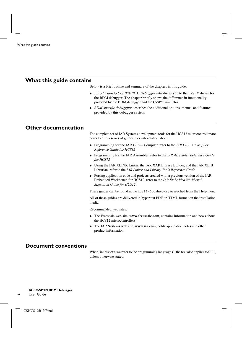## <span id="page-5-0"></span>**What this guide contains**

Below is a brief outline and summary of the chapters in this guide.

- *[Introduction to C-SPY® BDM Debugger](#page-10-2)* introduces you to the C-SPY driver for the BDM debugger. The chapter briefly shows the difference in functionality provided by the BDM debugger and the C-SPY simulator.
- *[BDM-specific debugging](#page-16-2)* describes the additional options, menus, and features provided by this debugger system.

## <span id="page-5-1"></span>**Other documentation**

<span id="page-5-5"></span>The complete set of IAR Systems development tools for the HCS12 microcontroller are described in a series of guides. For information about:

- Programming for the IAR C/C++ Compiler, refer to the *IAR C/C++ Compiler Reference Guide for HCS12*
- Programming for the IAR Assembler, refer to the *IAR Assembler Reference Guide for HCS12*
- Using the IAR XLINK Linker, the IAR XAR Library Builder, and the IAR XLIB Librarian, refer to the *IAR Linker and Library Tools Reference Guide*
- Porting application code and projects created with a previous version of the IAR Embedded Workbench for HCS12, refer to the *IAR Embedded Workbench Migration Guide for HCS12*.

These guides can be found in the hcs12\doc directory or reached from the **Help** menu.

All of these guides are delivered in hypertext PDF or HTML format on the installation media.

Recommended web sites:

- The Freescale web site, **www.freescale.com**, contains information and news about the HCS12 microcontrollers.
- The IAR Systems web site, **www.iar.com**, holds application notes and other product information.

## <span id="page-5-2"></span>**Document conventions**

<span id="page-5-6"></span><span id="page-5-4"></span><span id="page-5-3"></span>When, in this text, we refer to the programming language C, the text also applies to  $C_{++}$ , unless otherwise stated.

**vi**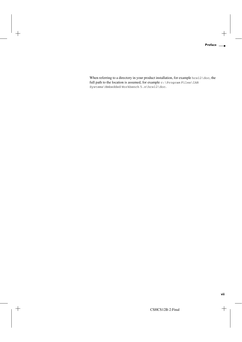When referring to a directory in your product installation, for example hcs12\doc, the full path to the location is assumed, for example  $c$ : \Program Files\IAR Systems\Embedded Workbench 5.*n*\hcs12\doc.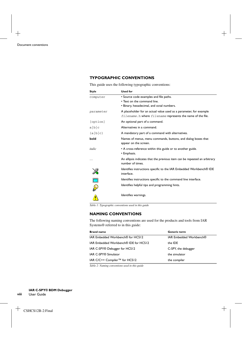## <span id="page-7-11"></span><span id="page-7-0"></span>**TYPOGRAPHIC CONVENTIONS**

This guide uses the following typographic conventions:

<span id="page-7-9"></span><span id="page-7-6"></span><span id="page-7-5"></span><span id="page-7-3"></span><span id="page-7-2"></span>

| <b>Style</b> | <b>Used for</b>                                                                               |
|--------------|-----------------------------------------------------------------------------------------------|
| computer     | • Source code examples and file paths.                                                        |
|              | • Text on the command line.                                                                   |
|              | • Binary, hexadecimal, and octal numbers.                                                     |
| parameter    | A placeholder for an actual value used as a parameter, for example                            |
|              | filename. h where filename represents the name of the file.                                   |
| [option]     | An optional part of a command.                                                                |
| a b c        | Alternatives in a command.                                                                    |
| ${a b c}$    | A mandatory part of a command with alternatives.                                              |
| bold         | Names of menus, menu commands, buttons, and dialog boxes that<br>appear on the screen.        |
| italic       | • A cross-reference within this guide or to another guide.<br>• Emphasis.                     |
| .            | An ellipsis indicates that the previous item can be repeated an arbitrary<br>number of times. |
|              | Identifies instructions specific to the IAR Embedded Workbench® IDE<br>interface.             |
| $\mathbf{L}$ | Identifies instructions specific to the command line interface.                               |
| J            | Identifies helpful tips and programming hints.                                                |
|              | Identifies warnings.                                                                          |

<span id="page-7-12"></span><span id="page-7-10"></span><span id="page-7-7"></span><span id="page-7-4"></span>*Table 1: Typographic conventions used in this guide*

## <span id="page-7-8"></span><span id="page-7-1"></span>**NAMING CONVENTIONS**

The following naming conventions are used for the products and tools from IAR Systems® referred to in this guide:

| <b>Brand name</b>                         | <b>Generic term</b>     |
|-------------------------------------------|-------------------------|
| IAR Embedded Workbench® for HCS12         | IAR Embedded Workbench® |
| IAR Embedded Workbench® IDE for HCS12     | the IDF                 |
| IAR C-SPY <sup>®</sup> Debugger for HCS12 | C-SPY, the debugger     |
| IAR C-SPY® Simulator                      | the simulator           |
| IAR C/C++ Compiler <sup>™</sup> for HCS12 | the compiler            |

*Table 2: Naming conventions used in this guide*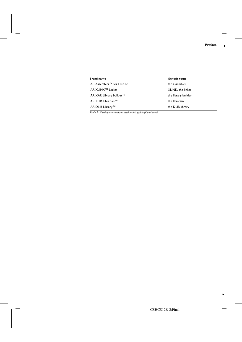| <b>Brand name</b>                    | <b>Generic term</b> |
|--------------------------------------|---------------------|
| IAR Assembler <sup>™</sup> for HCS12 | the assembler       |
| IAR XLINK™ Linker                    | XLINK, the linker   |
| IAR XAR Library builder™             | the library builder |
| IAR XLIB Librarian™                  | the librarian       |
| IAR DLIB Library™                    | the DLIB library    |

*Table 2: Naming conventions used in this guide (Continued)*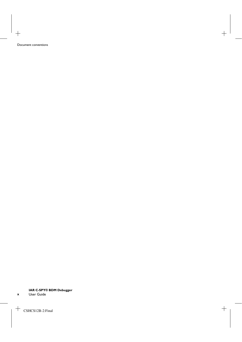Document conventions

**x**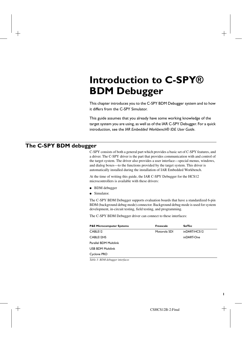## <span id="page-10-2"></span><span id="page-10-0"></span>**Introduction to C-SPY® BDM Debugger**

This chapter introduces you to the C-SPY BDM Debugger system and to how it differs from the C-SPY Simulator.

This guide assumes that you already have some working knowledge of the target system you are using, as well as of the IAR C-SPY Debugger. For a quick introduction, see the *IAR Embedded Workbench® IDE User Guide*.

## <span id="page-10-3"></span><span id="page-10-1"></span>**The C-SPY BDM debugger**

C-SPY consists of both a general part which provides a basic set of C-SPY features, and a driver. The C-SPY driver is the part that provides communication with and control of the target system. The driver also provides a user interface—special menus, windows, and dialog boxes—to the functions provided by the target system. This driver is automatically installed during the installation of IAR Embedded Workbench.

At the time of writing this guide, the IAR C-SPY Debugger for the HCS12 microcontrollers is available with these drivers:

- BDM debugger
- Simulator.

The C-SPY BDM Debugger supports evaluation boards that have a standardized 6-pin BDM (background debug mode) connector. Background debug mode is used for system development, in-circuit testing, field testing, and programming.

The C-SPY BDM Debugger driver can connect to these interfaces:

| <b>P&amp;E Microcomputer Systems</b> | Freescale    | <b>SofTec</b> |  |
|--------------------------------------|--------------|---------------|--|
| CABLE <sub>12</sub>                  | Motorola SDI | inDART-HCS12  |  |
| CABLE12HS                            |              | inDART-One    |  |
| Parallel BDM Multilink               |              |               |  |
| <b>USB BDM Multilink</b>             |              |               |  |
| Cyclone PRO                          |              |               |  |
| $-11 - 2 - 221$                      |              |               |  |

*Table 3: BDM debugger interfaces*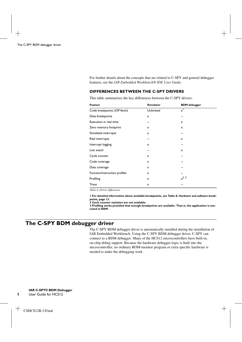For further details about the concepts that are related to C-SPY and general debugger features, see the *IAR Embedded Workbench® IDE User Guide*.

### <span id="page-11-3"></span><span id="page-11-0"></span>**DIFFERENCES BETWEEN THE C-SPY DRIVERS**

This table summarizes the key differences between the C-SPY drivers:

| <b>Feature</b>                | <b>Simulator</b>          | <b>BDM</b> debugger |
|-------------------------------|---------------------------|---------------------|
| Code breakpoints (OP-fetch)   | Unlimited                 | $x^{\mathsf{I}}$    |
| Data breakpoints              | $\boldsymbol{\mathsf{x}}$ | --                  |
| Execution in real time        | --                        | x                   |
| Zero memory footprint         | $\mathsf{x}$              | x                   |
| Simulated interrupts          | $\boldsymbol{\mathsf{x}}$ | --                  |
| Real interrupts               | --                        | x                   |
| Interrupt logging             | x                         | --                  |
| Live watch                    | --                        | x                   |
| Cycle counter                 | $\boldsymbol{\mathsf{x}}$ | --                  |
| Code coverage                 | $\boldsymbol{\mathsf{x}}$ | --                  |
| Data coverage                 | $\boldsymbol{\mathsf{x}}$ | --                  |
| Function/instruction profiler | $\boldsymbol{\mathsf{x}}$ | --                  |
| Profiling                     | $\boldsymbol{\mathsf{x}}$ | $x^2$ , 3           |
| <b>Trace</b>                  | $\boldsymbol{\mathsf{x}}$ |                     |

*Table 4: Driver differences*

**1 For detailed information about available breakpoints, see Table 8,** *[Hardware and software break](#page-22-2)[points](#page-22-2)***, [page 13](#page-22-2).**

**2 Cycle counter statistics are not available.**

**3 Profiling works provided that enough breakpoints are available. That is, the application is executed in RAM.**

## <span id="page-11-2"></span><span id="page-11-1"></span>**The C-SPY BDM debugger driver**

The C-SPY BDM debugger driver is automatically installed during the installation of IAR Embedded Workbench. Using the C-SPY BDM debugger driver, C-SPY can connect to a BDM debugger. Many of the HCS12 microcontrollers have built-in, on-chip debug support. Because the hardware debugger logic is built into the microcontroller, no ordinary ROM-monitor program or extra specific hardware is needed to make the debugging work.

**2**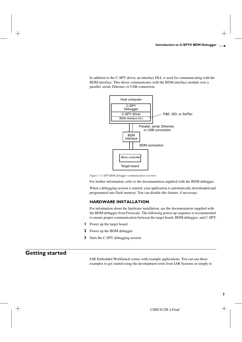In addition to the C-SPY driver, an interface DLL is used for communicating with the BDM interface. This driver communicates with the BDM interface module over a parallel, serial, Ethernet, or USB connection.



*Figure 1: C-SPY BDM debugger communication overview*

For further information, refer to the documentation supplied with the BDM debugger.

When a debugging session is started, your application is automatically downloaded and programmed into flash memory. You can disable this feature, if necessary.

#### <span id="page-12-2"></span><span id="page-12-0"></span>**HARDWARE INSTALLATION**

For information about the hardware installation, see the documentation supplied with the BDM debugger from Freescale. The following power-up sequence is recommended to ensure proper communication between the target board, BDM debugger, and C-SPY:

- **1** Power up the target board.
- **2** Power up the BDM debugger.
- **3** Start the C-SPY debugging session.

## <span id="page-12-1"></span>**Getting started**

IAR Embedded Workbench comes with example applications. You can use these examples to get started using the development tools from IAR Systems or simply to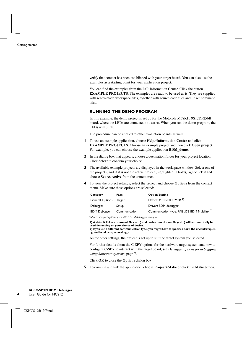verify that contact has been established with your target board. You can also use the examples as a starting point for your application project.

You can find the examples from the IAR Information Center. Click the button **EXAMPLE PROJECTS**. The examples are ready to be used as is. They are supplied with ready-made workspace files, together with source code files and linker command files.

### <span id="page-13-0"></span>**RUNNING THE DEMO PROGRAM**

In this example, the demo project is set up for the Motorola M68KIT 9S12DP256B board, where the LEDs are connected to PORTB. When you run the demo program, the LEDs will blink.

The procedure can be applied to other evaluation boards as well.

- **1** To use an example application, choose **Help>Information Center** and click **EXAMPLE PROJECTS**. Choose an example project and then click **Open project**. For example, you can choose the example application **BDM\_demo**.
- **2** In the dialog box that appears, choose a destination folder for your project location. Click **Select** to confirm your choice.
- **3** The available example projects are displayed in the workspace window. Select one of the projects, and if it is not the active project (highlighted in bold), right-click it and choose **Set As Active** from the context menu.
- **4** To view the project settings, select the project and choose **Options** from the context menu. Make sure these options are selected:

| Category               | Page          | <b>Option/Setting</b>                                   |
|------------------------|---------------|---------------------------------------------------------|
| <b>General Options</b> | Target        | Device: MC9S12DP256B <sup>1</sup>                       |
| Debugger               | Setup         | Driver: BDM debugger                                    |
| <b>BDM Debugger</b>    | Communication | Communication type: P&E USB BDM Multilink <sup>2)</sup> |

*Table 5: Project options for C-SPY BDM debugger example* 

**1) A default linker command file (**xcl**) and device description file (**ddf**) will automatically be used depending on your choice of device.**

**2) If you use a different communication type, you might have to specify a port, the crystal frequency, and baud rate, accordingly.**

As for other settings, the project is set up to suit the target system you selected.

For further details about the C-SPY options for the hardware target system and how to configure C-SPY to interact with the target board, see *[Debugger options for debugging](#page-16-3)  [using hardware systems](#page-16-3)*, page 7.

Click **OK** to close the **Options** dialog box.

**5** To compile and link the application, choose **Project>Make** or click the **Make** button.

**4**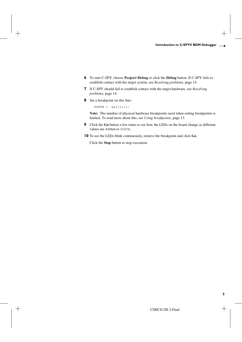- **6** To start C-SPY, choose **Project>Debug** or click the **Debug** button. If C-SPY fails to establish contact with the target system, see *[Resolving problems](#page-23-2)*, page 14.
- **7** If C-SPY should fail to establish contact with the target hardware, see *[Resolving](#page-23-2)  [problems](#page-23-2)*, page 14.
- **8** Set a breakpoint on this line:

PORTB =  $-arr[i++];$ 

**Note:** The number of physical hardware breakpoints used when setting breakpoints is limited. To read more about this, see *[Using breakpoints](#page-22-3)*, page 13.

- **9** Click the **Go** button a few times to see how the LEDs on the board change as different values are written to PORTB.
- **10** To see the LEDs blink continuously, remove the breakpoint and click **Go**.

Click the **Stop** button to stop execution.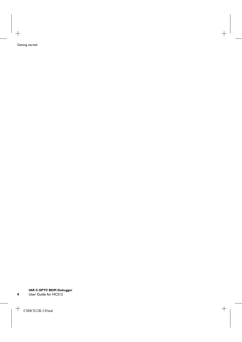Getting started

**6**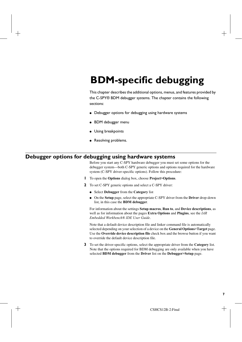## <span id="page-16-2"></span><span id="page-16-0"></span>**BDM-specific debugging**

This chapter describes the additional options, menus, and features provided by the C-SPY® BDM debugger systems. The chapter contains the following sections:

- [Debugger options for debugging using hardware systems](#page-16-1)
- [BDM debugger menu](#page-21-1)
- [Using breakpoints](#page-22-0)
- <span id="page-16-4"></span>● [Resolving problems.](#page-23-1)

## <span id="page-16-3"></span><span id="page-16-1"></span>**Debugger options for debugging using hardware systems**

Before you start any C-SPY hardware debugger you must set some options for the debugger system—both C-SPY generic options and options required for the hardware system (C-SPY driver-specific options). Follow this procedure:

- **1** To open the **Options** dialog box, choose **Project>Options**.
- **2** To set C-SPY generic options and select a C-SPY driver:
	- Select **Debugger** from the **Category** list
	- On the **Setup** page, select the appropriate C-SPY driver from the **Driver** drop-down list, in this case the **BDM debugger**.

For information about the settings **Setup macros**, **Run to**, and **Device descriptions**, as well as for information about the pages **Extra Options** and **Plugins**, see the *IAR Embedded Workbench® IDE User Guide*.

Note that a default device description file and linker command file is automatically selected depending on your selection of a device on the **General Options>Target** page. Use the **Override device description file** check box and the browse button if you want to override the default device description file.

**3** To set the driver-specific options, select the appropriate driver from the **Category** list. Note that the options required for BDM debugging are only available when you have selected **BDM debugger** from the **Driver** list on the **Debugger>Setup** page.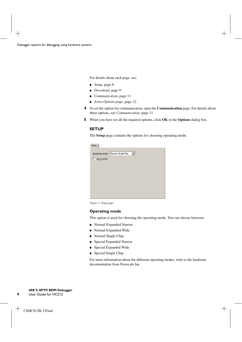For details about each page, see:

- *Setup*[, page 8](#page-17-0)
- *[Download](#page-18-0)*, page 9
- *[Communication](#page-20-0)*, page 11
- *[Extra Options page](#page-21-0)*, page 12.
- **4** To set the option for communication, open the **Communication** page. For details about these options, see *[Communication](#page-20-0)*, page 11.
- **5** When you have set all the required options, click **OK** in the **Options** dialog box.

#### <span id="page-17-1"></span><span id="page-17-0"></span>**SETUP**

The **Setup** page contains the options for choosing operating mode.

| Setup     |                                     |              |  |
|-----------|-------------------------------------|--------------|--|
| Set CLKSW | Operating mode: Special Single Chip | $\mathbf{r}$ |  |
|           |                                     |              |  |
|           |                                     |              |  |
|           |                                     |              |  |

*Figure 2: Setup page*

#### <span id="page-17-2"></span>**Operating mode**

This option is used for choosing the operating mode. You can choose between:

- Normal Expanded Narrow
- Normal Expanded Wide
- Normal Single Chip
- Special Expanded Narrow
- Special Expanded Wide
- Special Single Chip.

For more information about the different operating modes, refer to the hardware documentation from Freescale Inc.

**8**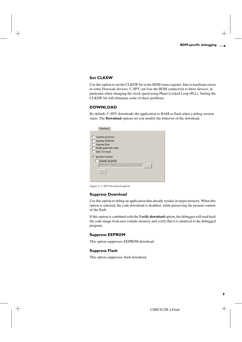### <span id="page-18-2"></span>**Set CLKSW**

Use this option to set the CLKSW bit in the BDM status register. Due to hardware errors in some Freescale devices, C-SPY can lose the BDM connection to these devices, in particular when changing the clock speed using Phase-Locked Loop (PLL). Setting the CLKSW bit will eliminate some of these problems.

### <span id="page-18-1"></span><span id="page-18-0"></span>**DOWNLOAD**

By default, C-SPY downloads the application to RAM or flash when a debug session starts. The **Download** options let you modify the behavior of the download.

| Download                                                                                                            |  |
|---------------------------------------------------------------------------------------------------------------------|--|
| Suppress Download<br>Suppress EEPROM<br>Suppress Flash<br><b>Enable Smart flash erase</b><br><b>Verify Download</b> |  |
| $\triangledown$ Use flash loader(s)<br>Ovenide board file                                                           |  |
| \$TOOLKIT_DIR\$\config\flashloader\mcs912p                                                                          |  |
| Edit                                                                                                                |  |
|                                                                                                                     |  |

*Figure 3: C-SPY Download options*

#### <span id="page-18-3"></span>**Suppress Download**

Use this option to debug an application that already resides in target memory. When this option is selected, the code download is disabled, while preserving the present content of the flash.

If this option is combined with the **Verify download** option, the debugger will read back the code image from non-volatile memory and verify that it is identical to the debugged program.

#### <span id="page-18-4"></span>**Suppress EEPROM**

This option suppresses EEPROM download.

### <span id="page-18-5"></span>**Suppress Flash**

This option suppresses flash download.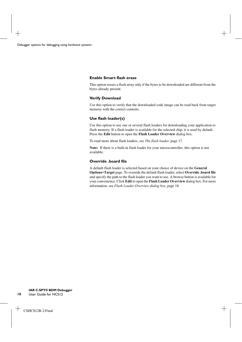### <span id="page-19-0"></span>**Enable Smart flash erase**

This option erases a flash array only if the bytes to be downloaded are different from the bytes already present.

### <span id="page-19-2"></span>**Verify Download**

Use this option to verify that the downloaded code image can be read back from target memory with the correct contents.

### <span id="page-19-1"></span>**Use flash loader(s)**

Use this option to use one or several flash loaders for downloading your application to flash memory. If a flash loader is available for the selected chip, it is used by default. Press the **Edit** button to open the **Flash Loader Overview** dialog box.

To read more about flash loaders, see *[The flash loader](#page-26-3)*, page 17.

**Note:** If there is a built-in flash loader for your microcontroller, this option is not available.

### **Override .board file**

A default flash loader is selected based on your choice of device on the **General Options>Target** page. To override the default flash loader, select **Override .board file** and specify the path to the flash loader you want to use. A browse button is available for your convenience. Click **Edit** to open the **Flash Loader Overview** dialog box. For more information, see *[Flash Loader Overview dialog box](#page-27-3)*, page 18.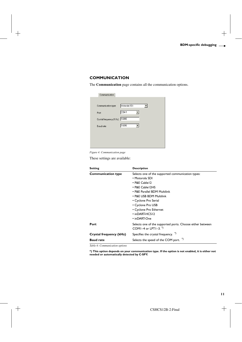## <span id="page-20-3"></span><span id="page-20-0"></span>**COMMUNICATION**

The **Communication** page contains all the communication options.

| Communication            |                  |  |  |
|--------------------------|------------------|--|--|
|                          |                  |  |  |
| Communication type:      | Motorola SDI     |  |  |
| Port:                    | COM <sub>1</sub> |  |  |
| Crystal frequency (KHz): | 16000            |  |  |
| Baud rate:               | 19200            |  |  |
|                          |                  |  |  |
|                          |                  |  |  |
|                          |                  |  |  |

*Figure 4: Communication page*

These settings are available:

<span id="page-20-2"></span>

| <b>Setting</b>            | <b>Description</b>                                                                                                                                                                                                                                                                 |
|---------------------------|------------------------------------------------------------------------------------------------------------------------------------------------------------------------------------------------------------------------------------------------------------------------------------|
| <b>Communication type</b> | Selects one of the supported communication types:<br>• Motorola SDI<br>$\cdot$ P&F Cable 12<br>• P&E Cable12HS<br>• P&E Parallel BDM Multilink<br>• P&E USB BDM Multilink<br>• Cyclone Pro Serial<br>• Cyclone Pro USB<br>• Cyclone Pro Ethernet<br>• inDART-HCS12<br>• inDART-One |
| Port                      | Selects one of the supported ports. Choose either between<br>$COMI = 4$ or $IPTI = 3$ <sup>*</sup>                                                                                                                                                                                 |
| Crystal frequency (kHz)   | Specifies the crystal frequency. <sup>*</sup> )                                                                                                                                                                                                                                    |
| <b>Baud rate</b>          | Selects the speed of the COM port. *)                                                                                                                                                                                                                                              |

<span id="page-20-5"></span><span id="page-20-4"></span><span id="page-20-1"></span>*Table 6: Communication options*

**\*) This option depends on your communication type. If the option is not enabled, it is either not needed or automatically detected by C-SPY.**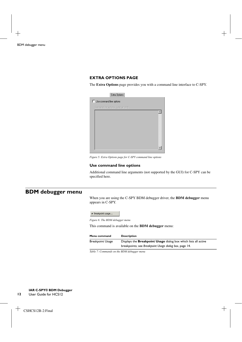## <span id="page-21-2"></span><span id="page-21-0"></span>**EXTRA OPTIONS PAGE**

The **Extra Options** page provides you with a command line interface to C-SPY.

|                                      | Extra Options |  |
|--------------------------------------|---------------|--|
| □ Use command line options           |               |  |
| Command line options: (one per line) |               |  |
|                                      |               |  |

*Figure 5: Extra Options page for C-SPY command line options*

### **Use command line options**

Additional command line arguments (not supported by the GUI) for C-SPY can be specified here.

## <span id="page-21-1"></span>**BDM debugger menu**

When you are using the C-SPY BDM debugger driver, the **BDM debugger** menu appears in C-SPY.

 $\checkmark$  Breakpoint usage...

*Figure 6: The BDM debugger menu*

This command is available on the **BDM debugger** menu:

| Menu command            | <b>Description</b>                                                     |
|-------------------------|------------------------------------------------------------------------|
| <b>Breakpoint Usage</b> | Displays the <b>Breakpoint Usage</b> dialog box which lists all active |
|                         | breakpoints; see Breakpoint Usage dialog box, page 14.                 |

*Table 7: Commands on the BDM debugger menu*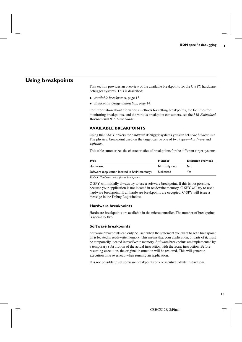## <span id="page-22-3"></span><span id="page-22-0"></span>**Using breakpoints**

This section provides an overview of the available breakpoints for the C-SPY hardware debugger systems. This is described:

- *[Available breakpoints](#page-22-1)*, page 13
- *[Breakpoint Usage dialog box](#page-23-0)*, page 14.

For information about the various methods for setting breakpoints, the facilities for monitoring breakpoints, and the various breakpoint consumers, see the *IAR Embedded Workbench® IDE User Guide*.

### <span id="page-22-1"></span>**AVAILABLE BREAKPOINTS**

Using the C-SPY drivers for hardware debugger systems you can set *code breakpoints*. The physical breakpoint used on the target can be one of two types—*hardware* and *software*.

This table summarizes the characteristics of breakpoints for the different target systems:

| Type                                         | <b>Number</b> | <b>Execution overhead</b> |
|----------------------------------------------|---------------|---------------------------|
| Hardware                                     | Normally two  | No                        |
| Software (application located in RAM memory) | Unlimited     | Yes                       |

<span id="page-22-2"></span>*Table 8: Hardware and software breakpoints* 

C-SPY will initially always try to use a software breakpoint. If this is not possible, because your application is not located in read/write memory, C-SPY will try to use a hardware breakpoint. If all hardware breakpoints are occupied, C-SPY will issue a message in the Debug Log window.

#### **Hardware breakpoints**

Hardware breakpoints are available in the microcontroller. The number of breakpoints is normally two.

#### **Software breakpoints**

Software breakpoints can only be used when the statement you want to set a breakpoint on is located in read/write memory. This means that your application, or parts of it, must be temporarily located in read/write memory. Software breakpoints are implemented by a temporary substitution of the actual instruction with the BGND instruction. Before resuming execution, the original instruction will be restored. This will generate execution time overhead when running an application.

It is not possible to set software breakpoints on consecutive 1-byte instructions.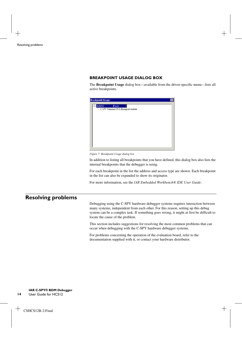### <span id="page-23-3"></span><span id="page-23-0"></span>**BREAKPOINT USAGE DIALOG BOX**

The **Breakpoint Usage** dialog box—available from the driver-specific menu—lists all active breakpoints.



*Figure 7: Breakpoint Usage dialog box*

In addition to listing all breakpoints that you have defined, this dialog box also lists the internal breakpoints that the debugger is using.

For each breakpoint in the list the address and access type are shown. Each breakpoint in the list can also be expanded to show its originator.

For more information, see the *IAR Embedded Workbench® IDE User Guide*.

## <span id="page-23-2"></span><span id="page-23-1"></span>**Resolving problems**

Debugging using the C-SPY hardware debugger systems requires interaction between many systems, independent from each other. For this reason, setting up this debug system can be a complex task. If something goes wrong, it might at first be difficult to locate the cause of the problem.

This section includes suggestions for resolving the most common problems that can occur when debugging with the C-SPY hardware debugger systems.

For problems concerning the operation of the evaluation board, refer to the documentation supplied with it, or contact your hardware distributor.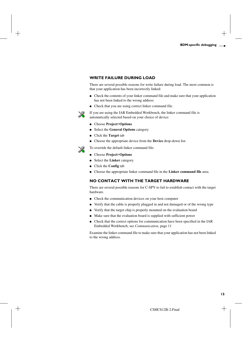## **WRITE FAILURE DURING LOAD**

There are several possible reasons for write failure during load. The most common is that your application has been incorrectly linked:

- Check the contents of your linker command file and make sure that your application has not been linked to the wrong address
- Check that you are using correct linker command file.



If you are using the IAR Embedded Workbench, the linker command file is automatically selected based on your choice of device:

- Choose **Project>Options**
- Select the **General Options** category
- Click the **Target** tab
- Choose the appropriate device from the **Device** drop-down list.



To override the default linker command file:

- Choose **Project>Options**
- Select the **Linker** category
- Click the **Config** tab
- Choose the appropriate linker command file in the **Linker command file** area.

## **NO CONTACT WITH THE TARGET HARDWARE**

There are several possible reasons for C-SPY to fail to establish contact with the target hardware.

- Check the communication devices on your host computer
- Verify that the cable is properly plugged in and not damaged or of the wrong type
- Verify that the target chip is properly mounted on the evaluation board
- Make sure that the evaluation board is supplied with sufficient power
- Check that the correct options for communication have been specified in the IAR Embedded Workbench; see *[Communication](#page-20-0)*, page 11

Examine the linker command file to make sure that your application has not been linked to the wrong address.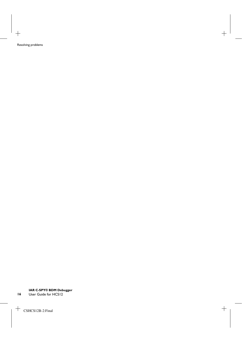Resolving problems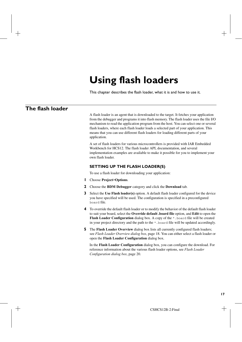## <span id="page-26-0"></span>**Using flash loaders**

<span id="page-26-4"></span>This chapter describes the flash loader, what it is and how to use it.

## <span id="page-26-3"></span><span id="page-26-1"></span>**The flash loader**

A flash loader is an agent that is downloaded to the target. It fetches your application from the debugger and programs it into flash memory. The flash loader uses the file I/O mechanism to read the application program from the host. You can select one or several flash loaders, where each flash loader loads a selected part of your application. This means that you can use different flash loaders for loading different parts of your application.

A set of flash loaders for various microcontrollers is provided with IAR Embedded Workbench for HCS12. The flash loader API, documentation, and several implementation examples are available to make it possible for you to implement your own flash loader.

### <span id="page-26-2"></span>**SETTING UP THE FLASH LOADER(S)**

To use a flash loader for downloading your application:

- **1** Choose **Project>Options**.
- **2** Choose the **BDM Debugger** category and click the **Download** tab.
- **3** Select the **Use Flash loader(s)** option. A default flash loader configured for the device you have specified will be used. The configuration is specified in a preconfigured board file.
- **4** To override the default flash loader or to modify the behavior of the default flash loader to suit your board, select the **Override default .board file** option, and **Edit** to open the **Flash Loader Configuration** dialog box. A copy of the \*.board file will be created in your project directory and the path to the \*.board file will be updated accordingly.
- **5** The **Flash Loader Overview** dialog box lists all currently configured flash loaders; see *[Flash Loader Overview dialog box](#page-27-2)*, page 18. You can either select a flash loader or open the **Flash Loader Configuration** dialog box.

In the **Flash Loader Configuration** dialog box, you can configure the download. For reference information about the various flash loader options, see *[Flash Loader](#page-29-0)  [Configuration dialog box](#page-29-0)*, page 20.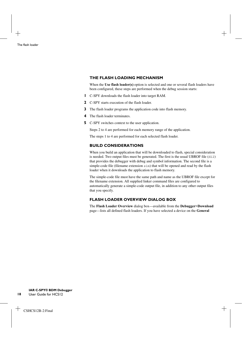### <span id="page-27-0"></span>**THE FLASH LOADING MECHANISM**

When the **Use flash loader(s)** option is selected and one or several flash loaders have been configured, these steps are performed when the debug session starts:

- **1** C-SPY downloads the flash loader into target RAM.
- **2** C-SPY starts execution of the flash loader.
- **3** The flash loader programs the application code into flash memory.
- **4** The flash loader terminates.
- **5** C-SPY switches context to the user application.

Steps 2 to 4 are performed for each memory range of the application.

The steps 1 to 4 are performed for each selected flash loader.

### <span id="page-27-1"></span>**BUILD CONSIDERATIONS**

When you build an application that will be downloaded to flash, special consideration is needed. Two output files must be generated. The first is the usual UBROF file  $(d12)$ that provides the debugger with debug and symbol information. The second file is a simple-code file (filename extension sim) that will be opened and read by the flash loader when it downloads the application to flash memory.

The simple-code file must have the same path and name as the UBROF file except for the filename extension. All supplied linker command files are configured to automatically generate a simple-code output file, in addition to any other output files that you specify.

### <span id="page-27-4"></span><span id="page-27-3"></span><span id="page-27-2"></span>**FLASH LOADER OVERVIEW DIALOG BOX**

The **Flash Loader Overview** dialog box—available from the **Debugger>Download** page—lists all defined flash loaders. If you have selected a device on the **General**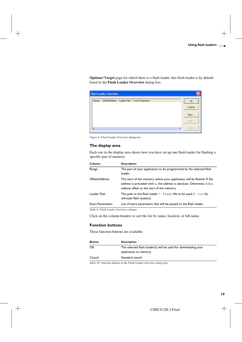**Options>Target** page for which there is a flash loader, this flash loader is by default listed in the **Flash Loader Overview** dialog box.

|       | <b>Flash Loader Overview</b> |                                                 |              |
|-------|------------------------------|-------------------------------------------------|--------------|
| Range |                              | Offset/Address   Loader Path   Extra Parameters | OK<br>Cancel |
|       |                              |                                                 | New<br>Edit  |
|       |                              | $\rightarrow$<br>IIII                           | Delete       |

*Figure 8: Flash Loader Overview dialog box*

### **The display area**

Each row in the display area shows how you have set up one flash loader for flashing a specific part of memory:

| Column                  | <b>Description</b>                                                                                                                                                                               |
|-------------------------|--------------------------------------------------------------------------------------------------------------------------------------------------------------------------------------------------|
| Range                   | The part of your application to be programmed by the selected flash<br>loader.                                                                                                                   |
| Offset/Address          | The start of the memory where your application will be flashed. If the<br>address is preceded with a, the address is absolute. Otherwise, it is a<br>relative offset to the start of the memory. |
| Loader Path             | The path to the flash loader $*$ . $f$ lash file to be used ( $*$ . out for<br>old-style flash loaders).                                                                                         |
| <b>Extra Parameters</b> | List of extra parameters that will be passed to the flash loader.                                                                                                                                |
|                         |                                                                                                                                                                                                  |

<span id="page-28-0"></span>*Table 9: Flash Loader Overview columns*

Click on the column headers to sort the list by name, location, or full name.

### **Function buttons**

These function buttons are available:

| <b>Button</b> | <b>Description</b>                                                                       |  |
|---------------|------------------------------------------------------------------------------------------|--|
| OK            | The selected flash loader(s) will be used for downloading your<br>application to memory. |  |
| Cancel        | Standard cancel.                                                                         |  |
|               |                                                                                          |  |

*Table 10: Function buttons in the Flash Loader Overview dialog box*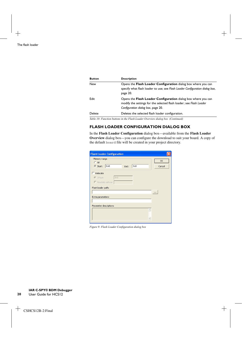| <b>Button</b> | <b>Description</b>                                                                                                                                                                |
|---------------|-----------------------------------------------------------------------------------------------------------------------------------------------------------------------------------|
| New           | Opens the Flash Loader Configuration dialog box where you can<br>specify what flash loader to use; see Flash Loader Configuration dialog box,<br>page 20.                         |
| Edit.         | Opens the <b>Flash Loader Configuration</b> dialog box where you can<br>modify the settings for the selected flash loader; see Flash Loader<br>Configuration dialog box, page 20. |
| Delete        | Deletes the selected flash loader configuration.                                                                                                                                  |
|               |                                                                                                                                                                                   |

*Table 10: Function buttons in the Flash Loader Overview dialog box (Continued)*

## <span id="page-29-0"></span>**FLASH LOADER CONFIGURATION DIALOG BOX**

In the **Flash Loader Configuration** dialog box—available from the **Flash Loader Overview** dialog box—you can configure the download to suit your board. A copy of the default board file will be created in your project directory.

| <b>Flash Loader Configuration</b>                                |              |
|------------------------------------------------------------------|--------------|
| Memory range<br>$C$ All<br>C Start:<br>0x0<br>$0\times0$<br>End: | OK<br>Cancel |
| Relocate                                                         |              |
| 0x0<br>C Offset:                                                 |              |
| C Absolute adress:                                               |              |
| Flash loader path:                                               |              |
|                                                                  | $\cdots$     |
| Extra parameters:                                                |              |
|                                                                  |              |
| Parameter descriptions:                                          |              |
| $\land$                                                          |              |
|                                                                  |              |
| $\checkmark$                                                     |              |

*Figure 9: Flash Loader Configuration dialog box*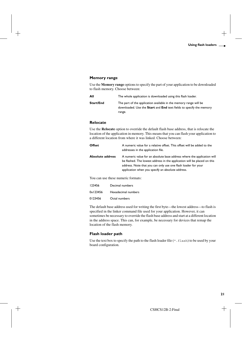### **Memory range**

Use the **Memory range** options to specify the part of your application to be downloaded to flash memory. Choose between:

| All       | The whole application is downloaded using this flash loader.                                                                                           |
|-----------|--------------------------------------------------------------------------------------------------------------------------------------------------------|
| Start/End | The part of the application available in the memory range will be<br>downloaded. Use the <b>Start</b> and <b>End</b> text fields to specify the memory |
|           | range.                                                                                                                                                 |

### **Relocate**

Use the **Relocate** option to override the default flash base address, that is relocate the location of the application in memory. This means that you can flash your application to a different location from where it was linked. Choose between:

| <b>Offset</b>    | A numeric value for a relative offset. This offset will be added to the<br>addresses in the application file.                                                                                                                                                             |
|------------------|---------------------------------------------------------------------------------------------------------------------------------------------------------------------------------------------------------------------------------------------------------------------------|
| Absolute address | A numeric value for an absolute base address where the application will<br>be flashed. The lowest address in the application will be placed on this<br>address. Note that you can only use one flash loader for your<br>application when you specify an absolute address. |

You can use these numeric formats:

| 123456   | Decimal numbers     |
|----------|---------------------|
| 0x123456 | Hexadecimal numbers |
| 0123456  | Octal numbers       |

The default base address used for writing the first byte—the lowest address—to flash is specified in the linker command file used for your application. However, it can sometimes be necessary to override the flash base address and start at a different location in the address space. This can, for example, be necessary for devices that remap the location of the flash memory.

### <span id="page-30-0"></span>**Flash loader path**

Use the text box to specify the path to the flash loader file  $(* .\text{float})$  to be used by your board configuration.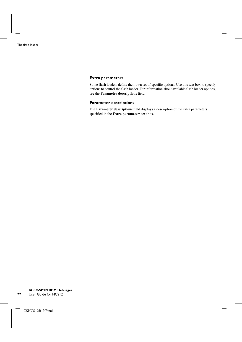### <span id="page-31-0"></span>**Extra parameters**

Some flash loaders define their own set of specific options. Use this text box to specify options to control the flash loader. For information about available flash loader options, see the **Parameter descriptions** field.

## **Parameter descriptions**

The **Parameter descriptions** field displays a description of the extra parameters specified in the **Extra parameters** text box.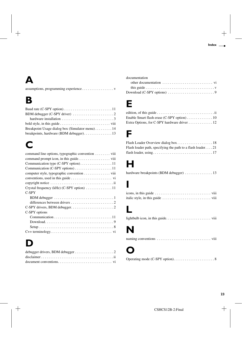$\bullet$ 

## **A**

|--|

## **B**

| BDM debugger (C-SPY driver) $\dots \dots \dots \dots \dots \dots \dots$ |  |
|-------------------------------------------------------------------------|--|
|                                                                         |  |
|                                                                         |  |
| Breakpoint Usage dialog box (Simulator menu)14                          |  |
|                                                                         |  |

## **C**

| command line options, typographic convention viii |
|---------------------------------------------------|
|                                                   |
|                                                   |
|                                                   |
| computer style, typographic convention viii       |
|                                                   |
|                                                   |
|                                                   |
| C-SPY                                             |
|                                                   |
|                                                   |
|                                                   |
| C-SPY options                                     |
|                                                   |
|                                                   |
|                                                   |
|                                                   |
|                                                   |

## **D**

| $document conventions, \ldots, \ldots, \ldots, \ldots, \ldots, \ldots, \nu$ |
|-----------------------------------------------------------------------------|

<span id="page-32-0"></span>

| documentation |
|---------------|
|               |
|               |
|               |

## **E**

| Extra Options, for C-SPY hardware driver $\ldots \ldots \ldots \ldots 12$ |  |
|---------------------------------------------------------------------------|--|

## **F**

| Flash loader path, specifying the path to a flash loader21 |  |
|------------------------------------------------------------|--|
|                                                            |  |

## **H**

| hardware breakpoints (BDM debugger) 13 |  |  |
|----------------------------------------|--|--|
|----------------------------------------|--|--|

## **I**

## **L**

```
lightbulb icon, in this guide. . . . . . . . . . . . . . . . . . . . . . . . viii
```
## **N**

## **O**

|--|--|